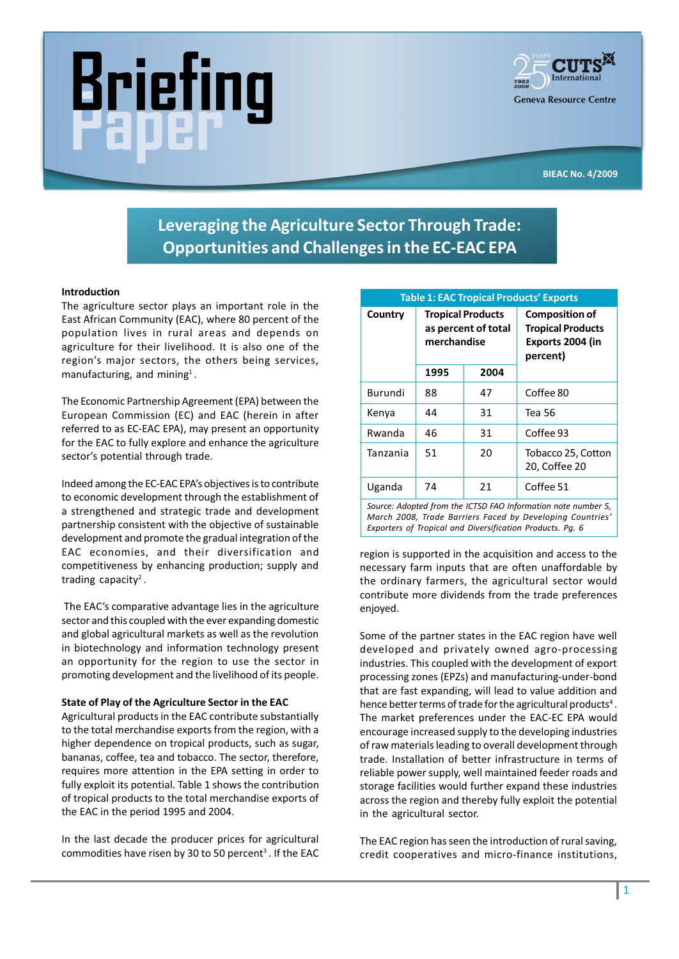



BIEAC No. 4/2009

# Leveraging the Agriculture Sector Through Trade: Opportunities and Challenges in the EC-EAC EPA

# Introduction

The agriculture sector plays an important role in the East African Community (EAC), where 80 percent of the population lives in rural areas and depends on agriculture for their livelihood. It is also one of the region's major sectors, the others being services, manufacturing, and mining<sup>1</sup>.

The Economic Partnership Agreement (EPA) between the European Commission (EC) and EAC (herein in after referred to as EC-EAC EPA), may present an opportunity for the EAC to fully explore and enhance the agriculture sector's potential through trade.

Indeed among the EC-EAC EPA's objectives is to contribute to economic development through the establishment of a strengthened and strategic trade and development partnership consistent with the objective of sustainable development and promote the gradual integration of the EAC economies, and their diversification and competitiveness by enhancing production; supply and trading capacity<sup>2</sup>.

The EAC's comparative advantage lies in the agriculture sector and this coupled with the ever expanding domestic and global agricultural markets as well as the revolution in biotechnology and information technology present an opportunity for the region to use the sector in promoting development and the livelihood of its people.

#### State of Play of the Agriculture Sector in the EAC

Agricultural products in the EAC contribute substantially to the total merchandise exports from the region, with a higher dependence on tropical products, such as sugar, bananas, coffee, tea and tobacco. The sector, therefore, requires more attention in the EPA setting in order to fully exploit its potential. Table 1 shows the contribution of tropical products to the total merchandise exports of the EAC in the period 1995 and 2004.

In the last decade the producer prices for agricultural commodities have risen by 30 to 50 percent<sup>3</sup>. If the EAC

| <b>Table 1: EAC Tropical Products' Exports</b>                |                                                                |      |                                                                                   |
|---------------------------------------------------------------|----------------------------------------------------------------|------|-----------------------------------------------------------------------------------|
| Country                                                       | <b>Tropical Products</b><br>as percent of total<br>merchandise |      | <b>Composition of</b><br><b>Tropical Products</b><br>Exports 2004 (in<br>percent) |
|                                                               | 1995                                                           | 2004 |                                                                                   |
| Burundi                                                       | 88                                                             | 47   | Coffee 80                                                                         |
| Kenya                                                         | 44                                                             | 31   | Tea 56                                                                            |
| Rwanda                                                        | 46                                                             | 31   | Coffee 93                                                                         |
| Tanzania                                                      | 51                                                             | 20   | Tobacco 25, Cotton<br>20, Coffee 20                                               |
| Uganda                                                        | 74                                                             | 21   | Coffee 51                                                                         |
| Source: Adopted from the ICTSD FAO Information note number 5, |                                                                |      |                                                                                   |

March 2008, Trade Barriers Faced by Developing Countries Exporters of Tropical and Diversification Products. Pg. 6

region is supported in the acquisition and access to the necessary farm inputs that are often unaffordable by the ordinary farmers, the agricultural sector would contribute more dividends from the trade preferences enjoyed.

Some of the partner states in the EAC region have well developed and privately owned agro-processing industries. This coupled with the development of export processing zones (EPZs) and manufacturing-under-bond that are fast expanding, will lead to value addition and hence better terms of trade for the agricultural products<sup>4</sup>. The market preferences under the EAC-EC EPA would encourage increased supply to the developing industries of raw materials leading to overall development through trade. Installation of better infrastructure in terms of reliable power supply, well maintained feeder roads and storage facilities would further expand these industries across the region and thereby fully exploit the potential in the agricultural sector.

The EAC region has seen the introduction of rural saving, credit cooperatives and micro-finance institutions,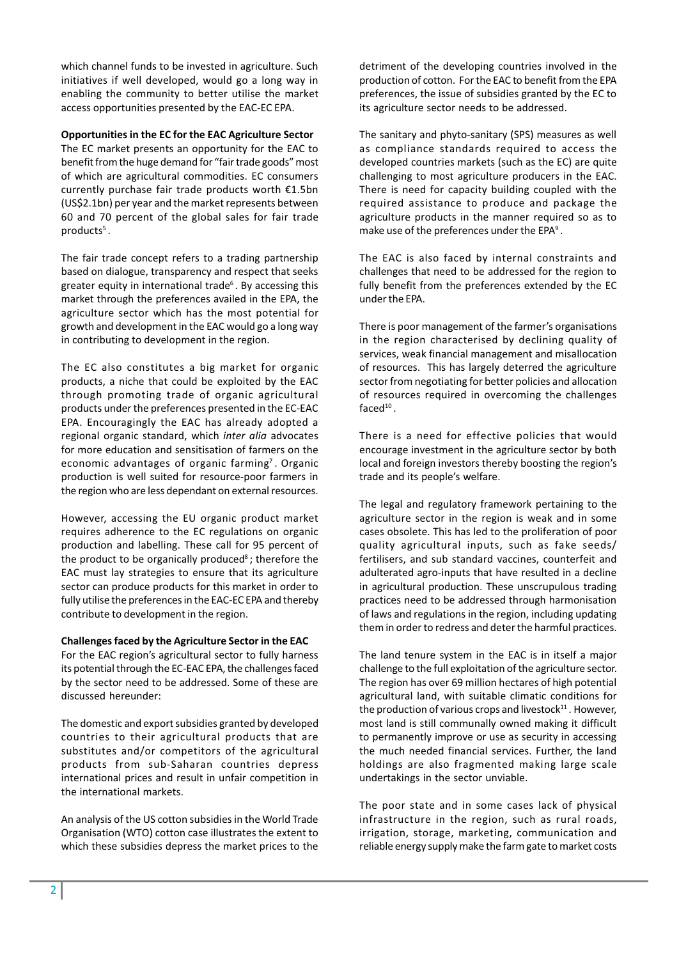which channel funds to be invested in agriculture. Such initiatives if well developed, would go a long way in enabling the community to better utilise the market access opportunities presented by the EAC-EC EPA.

# Opportunities in the EC for the EAC Agriculture Sector

The EC market presents an opportunity for the EAC to benefit from the huge demand for "fair trade goods" most of which are agricultural commodities. EC consumers currently purchase fair trade products worth  $£1.5bn$ (US\$2.1bn) per year and the market represents between 60 and 70 percent of the global sales for fair trade products<sup>5</sup>.

The fair trade concept refers to a trading partnership based on dialogue, transparency and respect that seeks greater equity in international trade<sup>6</sup>. By accessing this market through the preferences availed in the EPA, the agriculture sector which has the most potential for growth and development in the EAC would go a long way in contributing to development in the region.

The EC also constitutes a big market for organic products, a niche that could be exploited by the EAC through promoting trade of organic agricultural products under the preferences presented in the EC-EAC EPA. Encouragingly the EAC has already adopted a regional organic standard, which inter alia advocates for more education and sensitisation of farmers on the economic advantages of organic farming<sup>7</sup>. Organic production is well suited for resource-poor farmers in the region who are less dependant on external resources.

However, accessing the EU organic product market requires adherence to the EC regulations on organic production and labelling. These call for 95 percent of the product to be organically produced<sup>8</sup>; therefore the EAC must lay strategies to ensure that its agriculture sector can produce products for this market in order to fully utilise the preferences in the EAC-EC EPA and thereby contribute to development in the region.

#### Challenges faced by the Agriculture Sector in the EAC

For the EAC region's agricultural sector to fully harness its potential through the EC-EAC EPA, the challenges faced by the sector need to be addressed. Some of these are discussed hereunder:

The domestic and export subsidies granted by developed countries to their agricultural products that are substitutes and/or competitors of the agricultural products from sub-Saharan countries depress international prices and result in unfair competition in the international markets.

An analysis of the US cotton subsidies in the World Trade Organisation (WTO) cotton case illustrates the extent to which these subsidies depress the market prices to the

detriment of the developing countries involved in the production of cotton. For the EAC to benefit from the EPA preferences, the issue of subsidies granted by the EC to its agriculture sector needs to be addressed.

The sanitary and phyto-sanitary (SPS) measures as well as compliance standards required to access the developed countries markets (such as the EC) are quite challenging to most agriculture producers in the EAC. There is need for capacity building coupled with the required assistance to produce and package the agriculture products in the manner required so as to make use of the preferences under the EPA<sup>9</sup>.

The EAC is also faced by internal constraints and challenges that need to be addressed for the region to fully benefit from the preferences extended by the EC under the EPA.

There is poor management of the farmer's organisations in the region characterised by declining quality of services, weak financial management and misallocation of resources. This has largely deterred the agriculture sector from negotiating for better policies and allocation of resources required in overcoming the challenges  $faced<sup>10</sup>$ .

There is a need for effective policies that would encourage investment in the agriculture sector by both local and foreign investors thereby boosting the region's trade and its people's welfare.

The legal and regulatory framework pertaining to the agriculture sector in the region is weak and in some cases obsolete. This has led to the proliferation of poor quality agricultural inputs, such as fake seeds/ fertilisers, and sub standard vaccines, counterfeit and adulterated agro-inputs that have resulted in a decline in agricultural production. These unscrupulous trading practices need to be addressed through harmonisation of laws and regulations in the region, including updating them in order to redress and deter the harmful practices.

The land tenure system in the EAC is in itself a major challenge to the full exploitation of the agriculture sector. The region has over 69 million hectares of high potential agricultural land, with suitable climatic conditions for the production of various crops and livestock $11$ . However, most land is still communally owned making it difficult to permanently improve or use as security in accessing the much needed financial services. Further, the land holdings are also fragmented making large scale undertakings in the sector unviable.

The poor state and in some cases lack of physical infrastructure in the region, such as rural roads, irrigation, storage, marketing, communication and reliable energy supply make the farm gate to market costs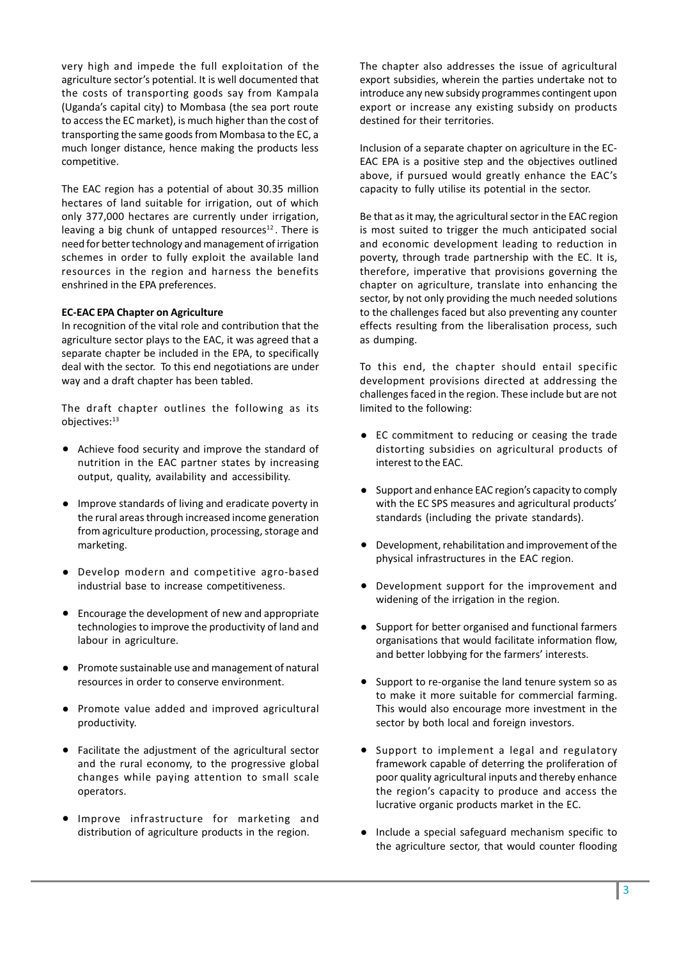very high and impede the full exploitation of the agriculture sector's potential. It is well documented that the costs of transporting goods say from Kampala (Uganda's capital city) to Mombasa (the sea port route to access the EC market), is much higher than the cost of transporting the same goods from Mombasa to the EC, a much longer distance, hence making the products less competitive.

The EAC region has a potential of about 30.35 million hectares of land suitable for irrigation, out of which only 377,000 hectares are currently under irrigation, leaving a big chunk of untapped resources $12$ . There is need for better technology and management of irrigation schemes in order to fully exploit the available land resources in the region and harness the benefits enshrined in the EPA preferences.

# EC-EAC EPA Chapter on Agriculture

In recognition of the vital role and contribution that the agriculture sector plays to the EAC, it was agreed that a separate chapter be included in the EPA, to specifically deal with the sector. To this end negotiations are under way and a draft chapter has been tabled.

The draft chapter outlines the following as its objectives:13

- Achieve food security and improve the standard of nutrition in the EAC partner states by increasing output, quality, availability and accessibility.
- Improve standards of living and eradicate poverty in the rural areas through increased income generation from agriculture production, processing, storage and marketing.
- Develop modern and competitive agro-based industrial base to increase competitiveness.
- Encourage the development of new and appropriate technologies to improve the productivity of land and labour in agriculture.
- Promote sustainable use and management of natural resources in order to conserve environment.
- Promote value added and improved agricultural productivity.
- Facilitate the adjustment of the agricultural sector and the rural economy, to the progressive global changes while paying attention to small scale operators.
- Improve infrastructure for marketing and distribution of agriculture products in the region.

The chapter also addresses the issue of agricultural export subsidies, wherein the parties undertake not to introduce any new subsidy programmes contingent upon export or increase any existing subsidy on products destined for their territories.

Inclusion of a separate chapter on agriculture in the EC-EAC EPA is a positive step and the objectives outlined above, if pursued would greatly enhance the EAC's capacity to fully utilise its potential in the sector.

Be that as it may, the agricultural sector in the EAC region is most suited to trigger the much anticipated social and economic development leading to reduction in poverty, through trade partnership with the EC. It is, therefore, imperative that provisions governing the chapter on agriculture, translate into enhancing the sector, by not only providing the much needed solutions to the challenges faced but also preventing any counter effects resulting from the liberalisation process, such as dumping.

To this end, the chapter should entail specific development provisions directed at addressing the challenges faced in the region. These include but are not limited to the following:

- EC commitment to reducing or ceasing the trade distorting subsidies on agricultural products of interest to the EAC.
- Support and enhance EAC region's capacity to comply with the EC SPS measures and agricultural products' standards (including the private standards).
- Development, rehabilitation and improvement of the physical infrastructures in the EAC region.
- Development support for the improvement and widening of the irrigation in the region.
- Support for better organised and functional farmers organisations that would facilitate information flow, and better lobbying for the farmers' interests.
- Support to re-organise the land tenure system so as to make it more suitable for commercial farming. This would also encourage more investment in the sector by both local and foreign investors.
- Support to implement a legal and regulatory framework capable of deterring the proliferation of poor quality agricultural inputs and thereby enhance the region's capacity to produce and access the lucrative organic products market in the EC.
- Include a special safeguard mechanism specific to the agriculture sector, that would counter flooding